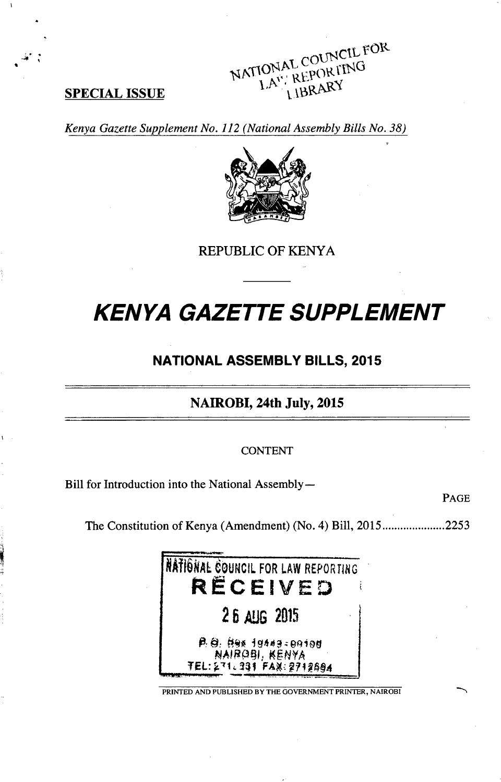NATIONAL COUNCIL FOR **SPECIAL ISSUE I**A<sup>V</sup>, **NEXT ARY** 

Kenya Gazette Supplement No. 112 (National Assembly Bills No. **38)**



REPUBLIC OF KENYA

# KENYA **GAZETTE SUPPLEMENT**

# **NATIONAL** ASSEMBLY BILLS, 2015

NAIROBI, 24th July, **2015**

**CONTENT**

Bill for Introduction into the National Assembly-

**PAGE**

The Constitution of Kenya (Amendment) (No. 4) Bill, **2015 ..................... 2253**



PRINTED **AND PUBLISHED** BY THE **GOVERNMENT** PRINTER, NAIROBI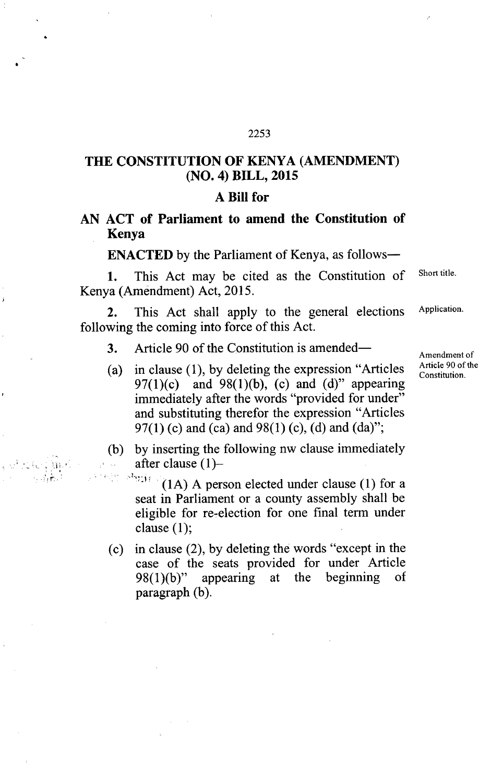# **THE CONSTITUTION OF KENYA (AMENDMENT) (NO. 4) BILL, 2015**

#### **A Bill for**

### **AN ACT of Parliament to amend the Constitution of Kenya**

**ENACTED** by the Parliament of Kenya, as follows-

1. This Act may be cited as the Constitution of Short title. Kenya (Amendment) Act, 2015.

2. This Act shall apply to the general elections Application. following the coming into force of this Act.

- 3. Article 90 of the Constitution is amended— $\overline{A}_{\text{Amendment of}}$
- (a) in clause (1), by deleting the expression "Articles  $\frac{\text{Article 90 of the}}{\text{Contribution}}$ 97(1)(c) and 98(1)(b), (c) and (d)" appearing immediately after the words "provided for under" and substituting therefor the expression "Articles 97(1) (c) and (ca) and 98(1) (c), (d) and (da)";
- (b) by inserting the following nw clause immediately after clause  $(1)$ -

 $\mathcal{F}_{\mathcal{M},\mathcal{M}}$  . (1A) A person elected under clause (1) for a seat in Parliament or a county assembly shall be eligible for re-election for one final term under clause (1);

(c) in clause (2), by deleting the words "except in the case of the seats provided for under Article 98(1)(b)" appearing at the beginning of  $98(1)(b)$ " appearing at the beginning of paragraph (b).

Constitution.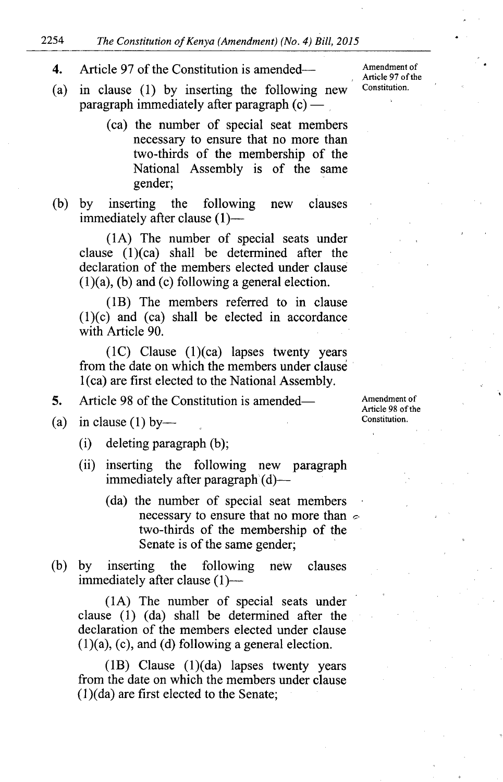#### 2254 *The Constitution of Kenya (Amendment) (No. 4) Bill, 2015*

# 4. Article 97 of the Constitution is amended—

- (a) in clause (1) by inserting the following new paragraph immediately after paragraph  $(c)$  —
	- (ca) the number of special seat members necessary to ensure that no more than two-thirds of the membership of the National Assembly is of the same gender;
- (b) by inserting the following new clauses immediately after clause (I)—

(IA) The number of special seats under clause (1)(ca) shall be determined after the declaration of the members elected under clause (1)(a), (b) and (c) following a general election.

(113) The members referred to in clause (1)(c) and (ca) shall be elected in accordance with Article 90.

(1C) Clause (1)(ca) lapses twenty years from the date on which the members under clause I (ca) are first elected to the National Assembly.

- 5. Article 98 of the Constitution is amended—
- (a) in clause (1) by—
	- (i) deleting paragraph (b);
	- (ii) inserting the following new paragraph immediately after paragraph'(d)—
		- (da) the number of special seat members necessary to ensure that no more than  $\infty$ two-thirds of the membership of the Senate is of the same gender;
- (b) by inserting the following new clauses immediately after clause (I)—

(IA) The number of special seats under clause (1) (da) shall be determined after the declaration of the members elected under clause  $(1)(a)$ ,  $(c)$ , and  $(d)$  following a general election.

(IB) Clause (1)(da) lapses twenty years from the date on which the members under clause (1)(da) are first elected to the Senate;

Amendment of Article 98 of the Constitution.

Amendment of Article 97 of the Constitution.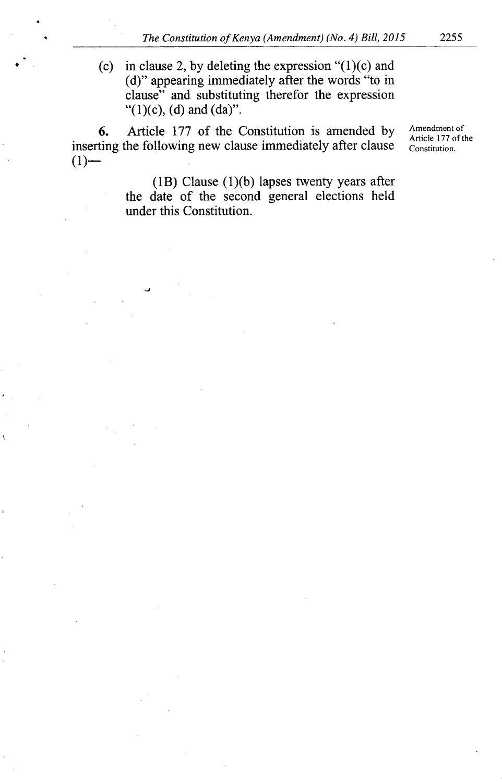(c) in clause 2, by deleting the expression  $(1)(c)$  and (d)" appearing immediately after the words "to in clause" and substituting therefor the expression "(1)(c), (d) and (da)".

6. Article 177 of the Constitution is amended by Amendment of Article 177 of the inserting the following new clause immediately after clause  $\frac{\text{Arice H770}}{\text{Constitution}}$  $(1)$ —

**In**

(IB) Clause (1)(b) lapses twenty years after the date of the second general elections held under this Constitution.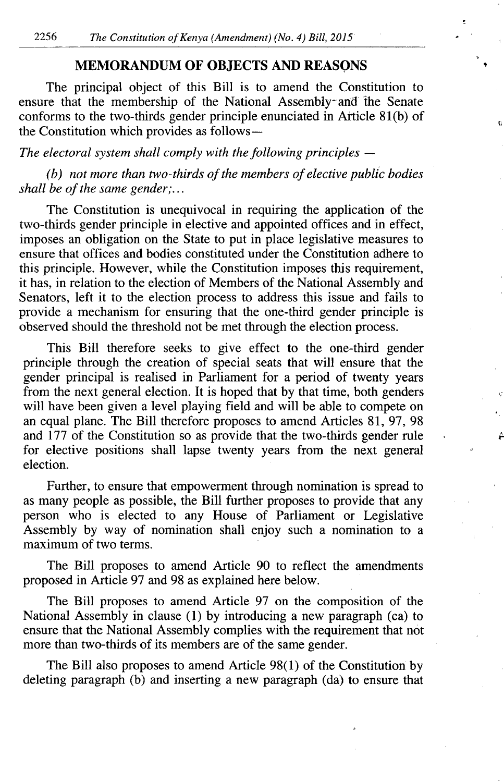#### **MEMORANDUM OF OBJECTS AND REASONS**

The principal object of this Bill is to amend the Constitution to ensure that the membership of the National Assembly-and ihe Senate conforms to the two-thirds gender principle enunciated in Article 81(b) of the Constitution which provides as follows —

*The electoral system shall comply with the following principles —* 

*(b) not more than two-thirds of the members of elective public bodies shall be of the same gender;...*

The Constitution is unequivocal in requiring the application of the two-thirds gender principle in elective and appointed offices and in effect, imposes an obligation on the State to put in place legislative measures to ensure that offices and bodies constituted under the Constitution adhere to this principle. However, while the Constitution imposes this requirement, it has, in relation to the election of Members of the National Assembly and Senators, left it to the election process to address this issue and fails to provide a mechanism for ensuring that the one-third gender principle is observed should the threshold not be met through the election process.

This Bill therefore seeks to give effect to the one-third gender principle through the creation of special seats that will ensure that the gender principal is realised in Parliament for a period of twenty years from the next general election. It is hoped that by that time, both genders will have been given a level playing field and will be able to compete on an equal plane. The Bill therefore proposes to amend Articles 81, 97, 98 and 177 of the Constitution so as provide that the two-thirds gender rule for elective positions shall lapse twenty years from the next general election.

Further, to ensure that empowerment through nomination is spread to as many people as possible, the Bill further proposes to provide that any person who is elected to any House of Parliament or Legislative Assembly by way of nomination shall enjoy such a nomination to a maximum of two terms.

The Bill proposes to amend Article 90 to reflect the amendments proposed in Article 97 and 98 as explained here below.

The Bill proposes to amend Article 97 on the composition of the National Assembly in clause (1) by introducing a new paragraph (ca) to ensure that the National Assembly complies with the requirement that not more than two-thirds of its members are of the same gender.

The Bill also proposes to amend Article 98(l) of the Constitution by deleting paragraph (b) and inserting a new paragraph (da) to ensure that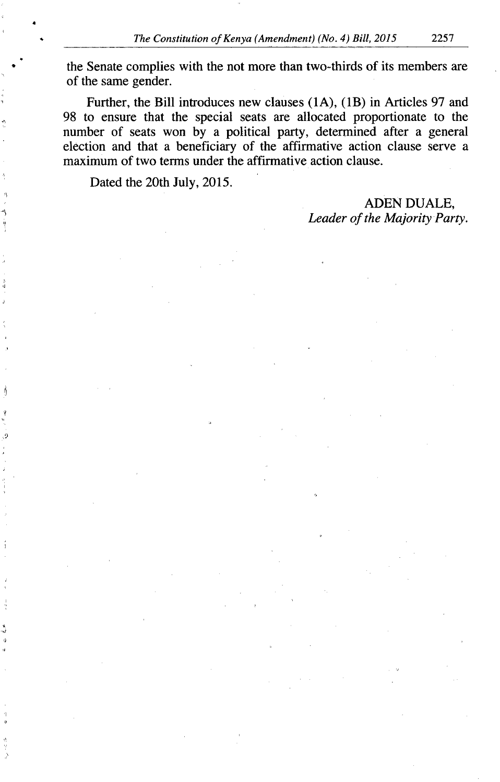the Senate complies with the not more than two-thirds of its members are of the same gender.

Further, the Bill introduces new clauses (1A), (IB) in Articles 97 and 98 to ensure that the special seats are allocated proportionate to the number of seats won by a political party, determined after a general election and that a beneficiary of the affirmative action clause serve a maximum of two terms under the affirmative action clause.

Dated the 20th July, 2015.

ADEN DUALE, *Leader of the Majority Party.*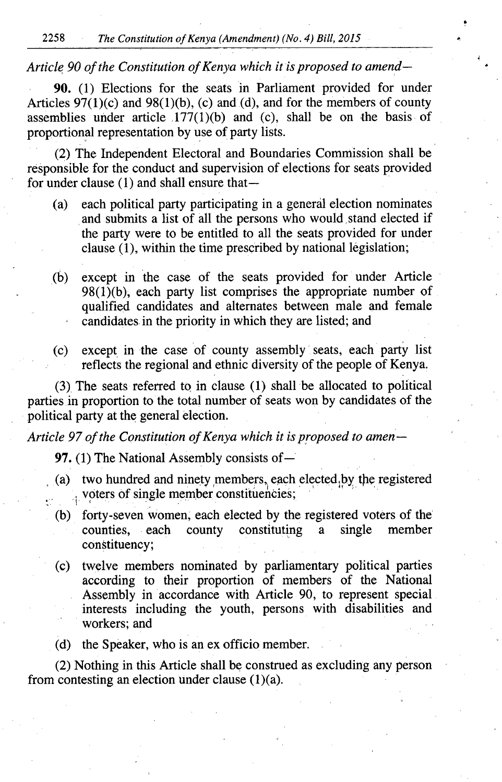**2258** The Constitution of Kenya (Amendment) (No. 4) Bill, **2015**

#### Article **90** of the Constitution of Kenya which it is proposed to amend-

**90. (1)** Elections for the seats in Parliament provided for under Articles  $97(1)(c)$  and  $98(1)(b)$ , (c) and (d), and for the members of county assemblies under article  $177(1)(b)$  and (c), shall be on the basis of proportional representation **by** use of party lists.

(2) The Independent Electoral and Boundaries Commission shall be responsible for the conduct and supervision of elections for seats provided for under clause (1) and shall ensure that-

- (a) each political party participating in a general election nominates **,** and submits a list of all the persons who would, stand elected if the party were to be entitled to all the seats provided for under clause (1), within the time prescribed **by** national legislation;
- (b) except in the case of the seats provided for under Article 98(1)(b), each party list comprises the appropriate number of qualified candidates and alternates between male and female candidates in the priority in which they are listed; and
- (c) except in the case of county assembly seats, each party list reflects the regional and ethnic diversity of the people of Kenya.

**(3),** The seats referred to in clause **(1)** shall be allocated to political parties,in proportion to the total number of seats won **by** candidates of the political party at the general election.

Article **97** of the Constitution of Kenya which it is proposed to amen —

**97. (1)** The National Assembly consists of —

- (a) two hundred and ninety members, each elected by the registered  $\frac{1}{2}$  voters of single member constituencies;
- (b) forty-seven women, each elected **by** the registered voters of the' counties, each county constituting a single member constituency;
- (c) twelve members nominated **by** parliamentary political parties according to their proportion of members of the National Assembly in accordance with Article **90,** to represent special interests including the youth, persons with disabilities and workers; and
- (d) the Speaker, who is an ex officio member.

(2) Nothing in this Article shall **be** construed as excluding any person from contesting an election under clause  $(1)(a)$ .